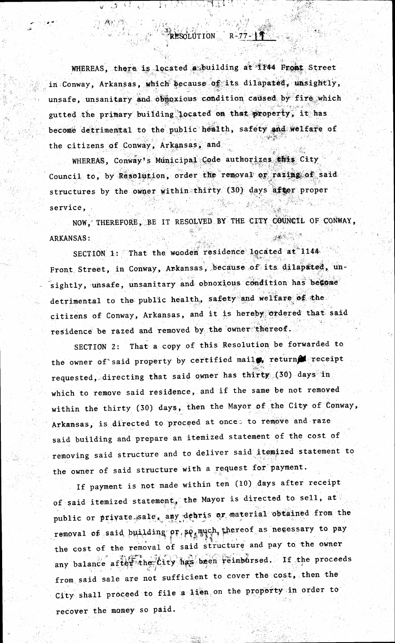WHEREAS, there is located a building at 1744 Front Street in Conway, Arkansas, which because of its dilapated, unsightly, unsafe, unsanitary and obmoxious condition caused by fire which gutted the primary building located on that property, it has become detrimental to the public health, safety and welfare of the citizens of Conway, Arkansas, and

RESERVAÇÃO DE

RESOLUTION R-77-19

**AND AND STATE** 

一藏包" 河空

WHEREAS, Conway's Municipal Code authorizes this City Council to, by Resolution, order the removal or razing of said structures by the owner within thirty (30) days after proper service,

NOW, THEREFORE, BE IT RESOLVED BY THE CITY COUNCIL OF CONWAY, **ARKANSAS:** 

SECTION 1: That the wooden residence located at 1144 Front Street, in Conway, Arkansas, because of its dilapated, unsightly, unsafe, unsanitary and obnoxious condition has become detrimental to the public health, safety and welfare of the citizens of Conway, Arkansas, and it is hereby ordered that said residence be razed and removed by the owner thereof.

SECTION 2: That a copy of this Resolution be forwarded to the owner of said property by certified mail , return receipt requested, directing that said owner has thirty (30) days in which to remove said residence, and if the same be not removed within the thirty (30) days, then the Mayor of the City of Conway, Arkansas, is directed to proceed at onces to remove and raze said building and prepare an itemized statement of the cost of removing said structure and to deliver said itemized statement to the owner of said structure with a request for payment.

If payment is not made within ten (10) days after receipt of said itemized statement, the Mayor is directed to sell, at public or private sale, any debris or material obtained from the removal of said building or so much thereof as necessary to pay the cost of the removal of said structure and pay to the owner any balance after the City has been reimbursed. If the proceeds from said sale are not sufficient to cover the cost, then the City shall proceed to file a lien on the property in order to recover the money so paid.